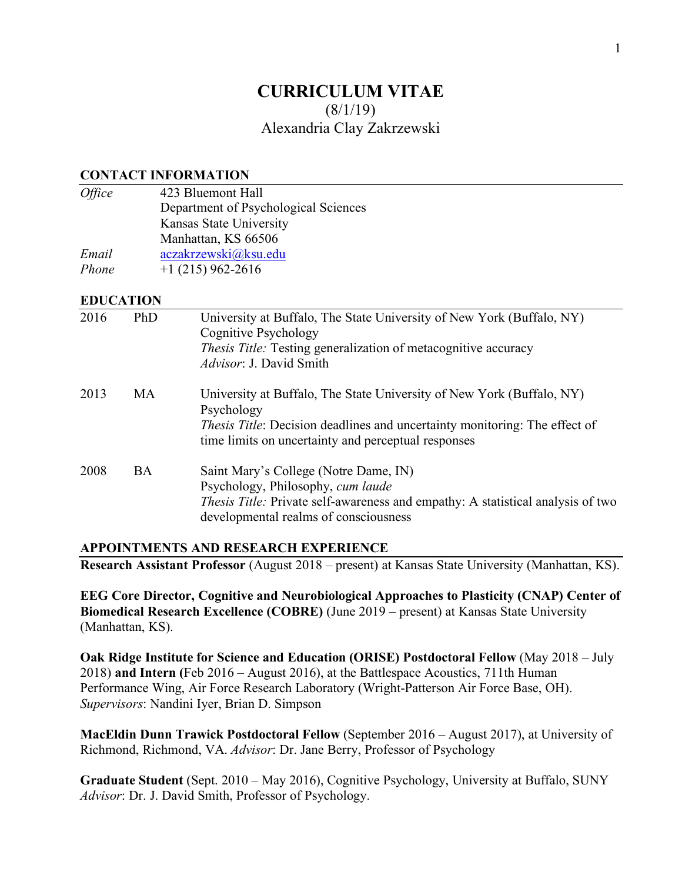# **CURRICULUM VITAE**  $(8/1/19)$ Alexandria Clay Zakrzewski

#### **CONTACT INFORMATION**

| <i>Office</i> | 423 Bluemont Hall                    |
|---------------|--------------------------------------|
|               | Department of Psychological Sciences |
|               | Kansas State University              |
|               | Manhattan, KS 66506                  |
| Email         | aczakrzewski@ksu.edu                 |
| Phone         | $+1(215)962-2616$                    |

#### **EDUCATION**

| 2016 | PhD       | University at Buffalo, The State University of New York (Buffalo, NY)<br>Cognitive Psychology<br><i>Thesis Title:</i> Testing generalization of metacognitive accuracy<br><i>Advisor</i> : J. David Smith                       |
|------|-----------|---------------------------------------------------------------------------------------------------------------------------------------------------------------------------------------------------------------------------------|
| 2013 | <b>MA</b> | University at Buffalo, The State University of New York (Buffalo, NY)<br>Psychology<br><i>Thesis Title:</i> Decision deadlines and uncertainty monitoring: The effect of<br>time limits on uncertainty and perceptual responses |
| 2008 | <b>BA</b> | Saint Mary's College (Notre Dame, IN)<br>Psychology, Philosophy, cum laude<br><i>Thesis Title:</i> Private self-awareness and empathy: A statistical analysis of two<br>developmental realms of consciousness                   |

#### **APPOINTMENTS AND RESEARCH EXPERIENCE**

**Research Assistant Professor** (August 2018 – present) at Kansas State University (Manhattan, KS).

**EEG Core Director, Cognitive and Neurobiological Approaches to Plasticity (CNAP) Center of Biomedical Research Excellence (COBRE)** (June 2019 – present) at Kansas State University (Manhattan, KS).

**Oak Ridge Institute for Science and Education (ORISE) Postdoctoral Fellow** (May 2018 – July 2018) **and Intern (**Feb 2016 – August 2016), at the Battlespace Acoustics, 711th Human Performance Wing, Air Force Research Laboratory (Wright-Patterson Air Force Base, OH). *Supervisors*: Nandini Iyer, Brian D. Simpson

**MacEldin Dunn Trawick Postdoctoral Fellow** (September 2016 – August 2017), at University of Richmond, Richmond, VA. *Advisor*: Dr. Jane Berry, Professor of Psychology

**Graduate Student** (Sept. 2010 – May 2016), Cognitive Psychology, University at Buffalo, SUNY *Advisor*: Dr. J. David Smith, Professor of Psychology.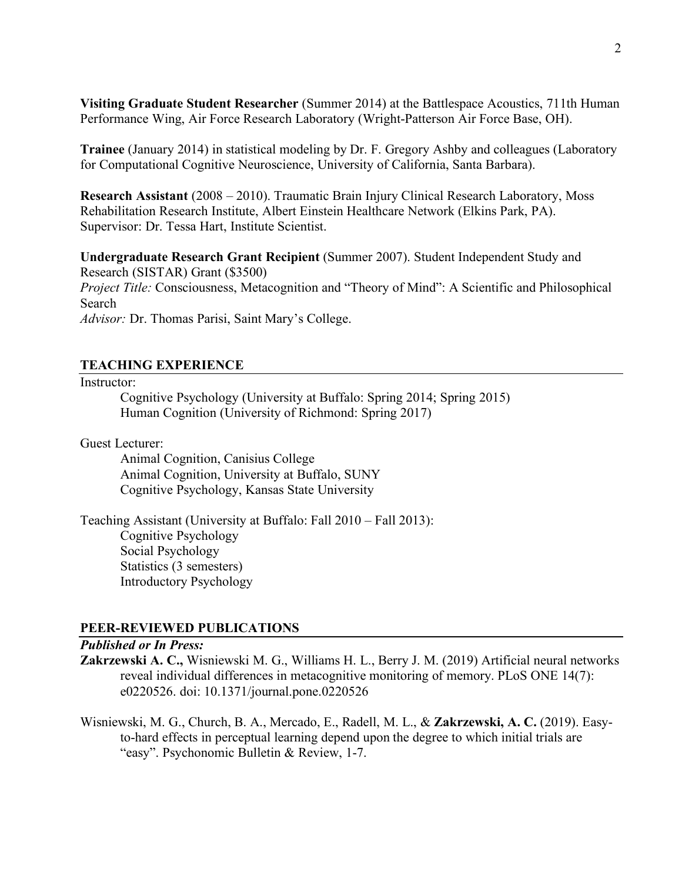**Visiting Graduate Student Researcher** (Summer 2014) at the Battlespace Acoustics, 711th Human Performance Wing, Air Force Research Laboratory (Wright-Patterson Air Force Base, OH).

**Trainee** (January 2014) in statistical modeling by Dr. F. Gregory Ashby and colleagues (Laboratory for Computational Cognitive Neuroscience, University of California, Santa Barbara).

**Research Assistant** (2008 – 2010). Traumatic Brain Injury Clinical Research Laboratory, Moss Rehabilitation Research Institute, Albert Einstein Healthcare Network (Elkins Park, PA). Supervisor: Dr. Tessa Hart, Institute Scientist.

**Undergraduate Research Grant Recipient** (Summer 2007). Student Independent Study and Research (SISTAR) Grant (\$3500) *Project Title:* Consciousness, Metacognition and "Theory of Mind": A Scientific and Philosophical Search *Advisor:* Dr. Thomas Parisi, Saint Mary's College.

# **TEACHING EXPERIENCE**

#### Instructor:

Cognitive Psychology (University at Buffalo: Spring 2014; Spring 2015) Human Cognition (University of Richmond: Spring 2017)

Guest Lecturer:

Animal Cognition, Canisius College Animal Cognition, University at Buffalo, SUNY Cognitive Psychology, Kansas State University

Teaching Assistant (University at Buffalo: Fall 2010 – Fall 2013): Cognitive Psychology Social Psychology Statistics (3 semesters) Introductory Psychology

### **PEER-REVIEWED PUBLICATIONS**

### *Published or In Press:*

- **Zakrzewski A. C.,** Wisniewski M. G., Williams H. L., Berry J. M. (2019) Artificial neural networks reveal individual differences in metacognitive monitoring of memory. PLoS ONE 14(7): e0220526. doi: 10.1371/journal.pone.0220526
- Wisniewski, M. G., Church, B. A., Mercado, E., Radell, M. L., & **Zakrzewski, A. C.** (2019). Easyto-hard effects in perceptual learning depend upon the degree to which initial trials are "easy". Psychonomic Bulletin & Review, 1-7.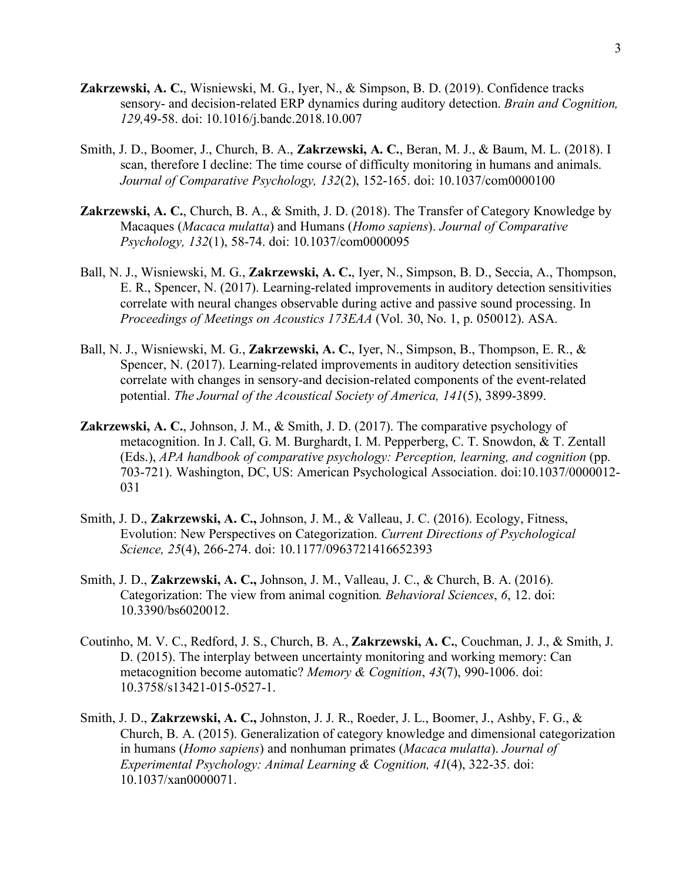- **Zakrzewski, A. C.**, Wisniewski, M. G., Iyer, N., & Simpson, B. D. (2019). Confidence tracks sensory- and decision-related ERP dynamics during auditory detection. *Brain and Cognition, 129,*49-58. doi: 10.1016/j.bandc.2018.10.007
- Smith, J. D., Boomer, J., Church, B. A., **Zakrzewski, A. C.**, Beran, M. J., & Baum, M. L. (2018). I scan, therefore I decline: The time course of difficulty monitoring in humans and animals. *Journal of Comparative Psychology, 132*(2), 152-165. doi: 10.1037/com0000100
- **Zakrzewski, A. C.**, Church, B. A., & Smith, J. D. (2018). The Transfer of Category Knowledge by Macaques (*Macaca mulatta*) and Humans (*Homo sapiens*). *Journal of Comparative Psychology, 132*(1), 58-74. doi: 10.1037/com0000095
- Ball, N. J., Wisniewski, M. G., **Zakrzewski, A. C.**, Iyer, N., Simpson, B. D., Seccia, A., Thompson, E. R., Spencer, N. (2017). Learning-related improvements in auditory detection sensitivities correlate with neural changes observable during active and passive sound processing. In *Proceedings of Meetings on Acoustics 173EAA* (Vol. 30, No. 1, p. 050012). ASA.
- Ball, N. J., Wisniewski, M. G., **Zakrzewski, A. C.**, Iyer, N., Simpson, B., Thompson, E. R., & Spencer, N. (2017). Learning-related improvements in auditory detection sensitivities correlate with changes in sensory-and decision-related components of the event-related potential. *The Journal of the Acoustical Society of America, 141*(5), 3899-3899.
- **Zakrzewski, A. C.**, Johnson, J. M., & Smith, J. D. (2017). The comparative psychology of metacognition. In J. Call, G. M. Burghardt, I. M. Pepperberg, C. T. Snowdon, & T. Zentall (Eds.), *APA handbook of comparative psychology: Perception, learning, and cognition* (pp. 703-721). Washington, DC, US: American Psychological Association. doi:10.1037/0000012- 031
- Smith, J. D., **Zakrzewski, A. C.,** Johnson, J. M., & Valleau, J. C. (2016). Ecology, Fitness, Evolution: New Perspectives on Categorization. *Current Directions of Psychological Science, 25*(4), 266-274. doi: 10.1177/0963721416652393
- Smith, J. D., **Zakrzewski, A. C.,** Johnson, J. M., Valleau, J. C., & Church, B. A. (2016). Categorization: The view from animal cognition*. Behavioral Sciences*, *6*, 12. doi: 10.3390/bs6020012.
- Coutinho, M. V. C., Redford, J. S., Church, B. A., **Zakrzewski, A. C.**, Couchman, J. J., & Smith, J. D. (2015). The interplay between uncertainty monitoring and working memory: Can metacognition become automatic? *Memory & Cognition*, *43*(7), 990-1006. doi: 10.3758/s13421-015-0527-1.
- Smith, J. D., **Zakrzewski, A. C.,** Johnston, J. J. R., Roeder, J. L., Boomer, J., Ashby, F. G., & Church, B. A. (2015). Generalization of category knowledge and dimensional categorization in humans (*Homo sapiens*) and nonhuman primates (*Macaca mulatta*). *Journal of Experimental Psychology: Animal Learning & Cognition, 41*(4), 322-35. doi: 10.1037/xan0000071.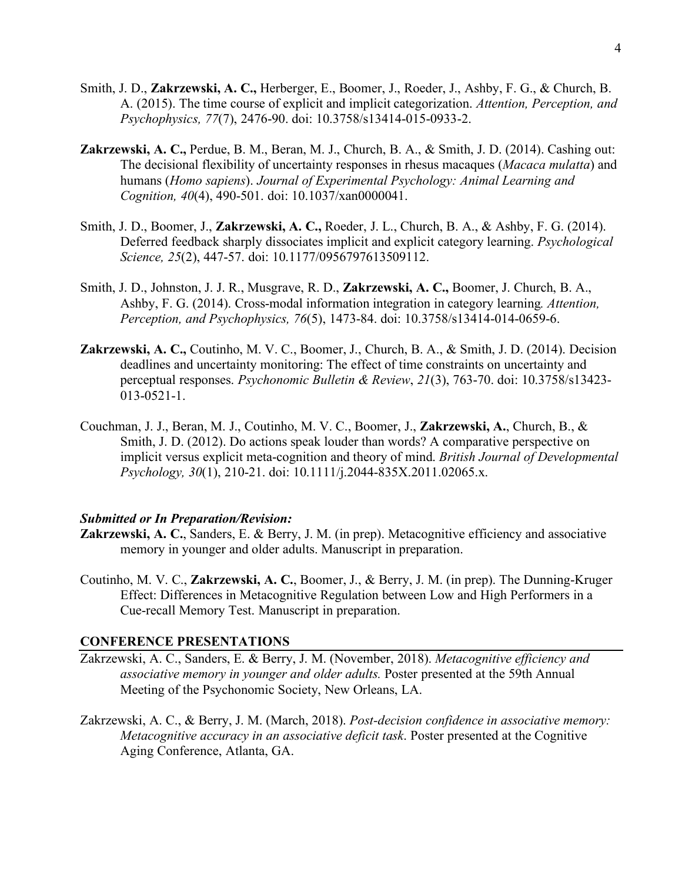- Smith, J. D., **Zakrzewski, A. C.,** Herberger, E., Boomer, J., Roeder, J., Ashby, F. G., & Church, B. A. (2015). The time course of explicit and implicit categorization. *Attention, Perception, and Psychophysics, 77*(7), 2476-90. doi: 10.3758/s13414-015-0933-2.
- **Zakrzewski, A. C.,** Perdue, B. M., Beran, M. J., Church, B. A., & Smith, J. D. (2014). Cashing out: The decisional flexibility of uncertainty responses in rhesus macaques (*Macaca mulatta*) and humans (*Homo sapiens*). *Journal of Experimental Psychology: Animal Learning and Cognition, 40*(4), 490-501. doi: 10.1037/xan0000041.
- Smith, J. D., Boomer, J., **Zakrzewski, A. C.,** Roeder, J. L., Church, B. A., & Ashby, F. G. (2014). Deferred feedback sharply dissociates implicit and explicit category learning. *Psychological Science, 25*(2), 447-57. doi: 10.1177/0956797613509112.
- Smith, J. D., Johnston, J. J. R., Musgrave, R. D., **Zakrzewski, A. C.,** Boomer, J. Church, B. A., Ashby, F. G. (2014). Cross-modal information integration in category learning*. Attention, Perception, and Psychophysics, 76*(5), 1473-84. doi: 10.3758/s13414-014-0659-6.
- **Zakrzewski, A. C.,** Coutinho, M. V. C., Boomer, J., Church, B. A., & Smith, J. D. (2014). Decision deadlines and uncertainty monitoring: The effect of time constraints on uncertainty and perceptual responses. *Psychonomic Bulletin & Review*, *21*(3), 763-70. doi: 10.3758/s13423- 013-0521-1.
- Couchman, J. J., Beran, M. J., Coutinho, M. V. C., Boomer, J., **Zakrzewski, A.**, Church, B., & Smith, J. D. (2012). Do actions speak louder than words? A comparative perspective on implicit versus explicit meta-cognition and theory of mind. *British Journal of Developmental Psychology, 30*(1), 210-21. doi: 10.1111/j.2044-835X.2011.02065.x.

#### *Submitted or In Preparation/Revision:*

- **Zakrzewski, A. C.**, Sanders, E. & Berry, J. M. (in prep). Metacognitive efficiency and associative memory in younger and older adults. Manuscript in preparation.
- Coutinho, M. V. C., **Zakrzewski, A. C.**, Boomer, J., & Berry, J. M. (in prep). The Dunning-Kruger Effect: Differences in Metacognitive Regulation between Low and High Performers in a Cue-recall Memory Test. Manuscript in preparation.

#### **CONFERENCE PRESENTATIONS**

- Zakrzewski, A. C., Sanders, E. & Berry, J. M. (November, 2018). *Metacognitive efficiency and associative memory in younger and older adults.* Poster presented at the 59th Annual Meeting of the Psychonomic Society, New Orleans, LA.
- Zakrzewski, A. C., & Berry, J. M. (March, 2018). *Post-decision confidence in associative memory: Metacognitive accuracy in an associative deficit task*. Poster presented at the Cognitive Aging Conference, Atlanta, GA.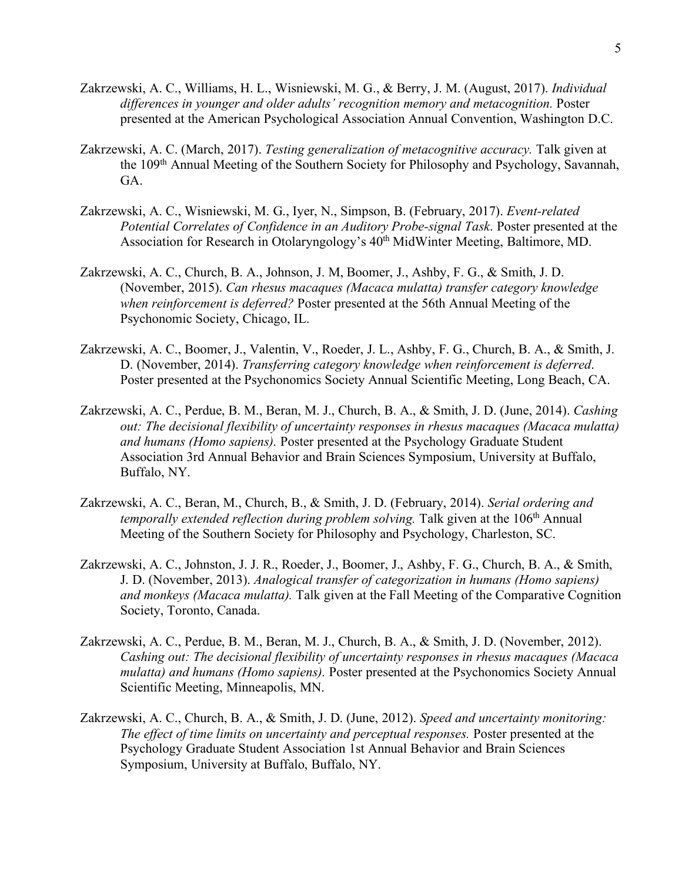- Zakrzewski, A. C., Williams, H. L., Wisniewski, M. G., & Berry, J. M. (August, 2017). *Individual differences in younger and older adults' recognition memory and metacognition.* Poster presented at the American Psychological Association Annual Convention, Washington D.C.
- Zakrzewski, A. C. (March, 2017). *Testing generalization of metacognitive accuracy.* Talk given at the 109th Annual Meeting of the Southern Society for Philosophy and Psychology, Savannah, GA.
- Zakrzewski, A. C., Wisniewski, M. G., Iyer, N., Simpson, B. (February, 2017). *Event-related Potential Correlates of Confidence in an Auditory Probe-signal Task*. Poster presented at the Association for Research in Otolaryngology's 40<sup>th</sup> MidWinter Meeting, Baltimore, MD.
- Zakrzewski, A. C., Church, B. A., Johnson, J. M, Boomer, J., Ashby, F. G., & Smith, J. D. (November, 2015). *Can rhesus macaques (Macaca mulatta) transfer category knowledge when reinforcement is deferred?* Poster presented at the 56th Annual Meeting of the Psychonomic Society, Chicago, IL.
- Zakrzewski, A. C., Boomer, J., Valentin, V., Roeder, J. L., Ashby, F. G., Church, B. A., & Smith, J. D. (November, 2014). *Transferring category knowledge when reinforcement is deferred*. Poster presented at the Psychonomics Society Annual Scientific Meeting, Long Beach, CA.
- Zakrzewski, A. C., Perdue, B. M., Beran, M. J., Church, B. A., & Smith, J. D. (June, 2014). *Cashing out: The decisional flexibility of uncertainty responses in rhesus macaques (Macaca mulatta) and humans (Homo sapiens).* Poster presented at the Psychology Graduate Student Association 3rd Annual Behavior and Brain Sciences Symposium, University at Buffalo, Buffalo, NY.
- Zakrzewski, A. C., Beran, M., Church, B., & Smith, J. D. (February, 2014). *Serial ordering and temporally extended reflection during problem solving.* Talk given at the 106<sup>th</sup> Annual Meeting of the Southern Society for Philosophy and Psychology, Charleston, SC.
- Zakrzewski, A. C., Johnston, J. J. R., Roeder, J., Boomer, J., Ashby, F. G., Church, B. A., & Smith, J. D. (November, 2013). *Analogical transfer of categorization in humans (Homo sapiens) and monkeys (Macaca mulatta).* Talk given at the Fall Meeting of the Comparative Cognition Society, Toronto, Canada.
- Zakrzewski, A. C., Perdue, B. M., Beran, M. J., Church, B. A., & Smith, J. D. (November, 2012). *Cashing out: The decisional flexibility of uncertainty responses in rhesus macaques (Macaca mulatta) and humans (Homo sapiens).* Poster presented at the Psychonomics Society Annual Scientific Meeting, Minneapolis, MN.
- Zakrzewski, A. C., Church, B. A., & Smith, J. D. (June, 2012). *Speed and uncertainty monitoring: The effect of time limits on uncertainty and perceptual responses.* Poster presented at the Psychology Graduate Student Association 1st Annual Behavior and Brain Sciences Symposium, University at Buffalo, Buffalo, NY.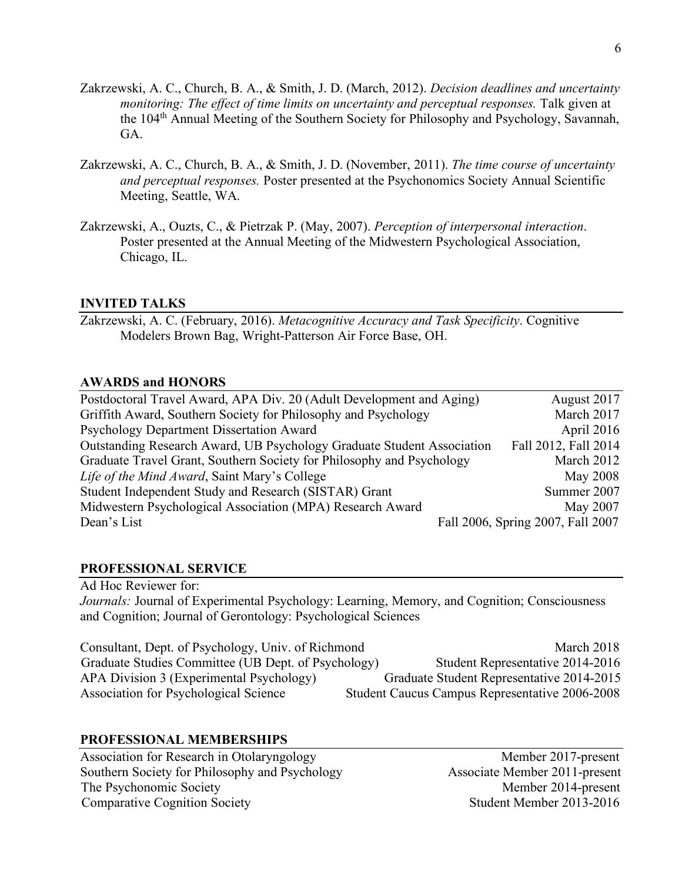- Zakrzewski, A. C., Church, B. A., & Smith, J. D. (March, 2012). *Decision deadlines and uncertainty monitoring: The effect of time limits on uncertainty and perceptual responses.* Talk given at the 104th Annual Meeting of the Southern Society for Philosophy and Psychology, Savannah, GA.
- Zakrzewski, A. C., Church, B. A., & Smith, J. D. (November, 2011). *The time course of uncertainty and perceptual responses.* Poster presented at the Psychonomics Society Annual Scientific Meeting, Seattle, WA.
- Zakrzewski, A., Ouzts, C., & Pietrzak P. (May, 2007). *Perception of interpersonal interaction*. Poster presented at the Annual Meeting of the Midwestern Psychological Association, Chicago, IL.

# **INVITED TALKS**

Zakrzewski, A. C. (February, 2016). *Metacognitive Accuracy and Task Specificity*. Cognitive Modelers Brown Bag, Wright-Patterson Air Force Base, OH.

### **AWARDS and HONORS**

| Postdoctoral Travel Award, APA Div. 20 (Adult Development and Aging)   | August 2017                       |
|------------------------------------------------------------------------|-----------------------------------|
| Griffith Award, Southern Society for Philosophy and Psychology         | March 2017                        |
| Psychology Department Dissertation Award                               | April 2016                        |
| Outstanding Research Award, UB Psychology Graduate Student Association | Fall 2012, Fall 2014              |
| Graduate Travel Grant, Southern Society for Philosophy and Psychology  | March 2012                        |
| Life of the Mind Award, Saint Mary's College                           | <b>May 2008</b>                   |
| Student Independent Study and Research (SISTAR) Grant                  | Summer 2007                       |
| Midwestern Psychological Association (MPA) Research Award              | May 2007                          |
| Dean's List                                                            | Fall 2006, Spring 2007, Fall 2007 |

### **PROFESSIONAL SERVICE**

Ad Hoc Reviewer for: *Journals: Journal of Experimental Psychology: Learning, Memory, and Cognition; Consciousness* and Cognition; Journal of Gerontology: Psychological Sciences

Consultant, Dept. of Psychology, Univ. of Richmond March 2018 Graduate Studies Committee (UB Dept. of Psychology) Student Representative 2014-2016 APA Division 3 (Experimental Psychology) Graduate Student Representative 2014-2015 Association for Psychological Science Student Caucus Campus Representative 2006-2008

# **PROFESSIONAL MEMBERSHIPS**

Association for Research in Otolaryngology Member 2017-present Southern Society for Philosophy and Psychology Associate Member 2011-present The Psychonomic Society Member 2014-present Comparative Cognition Society Student Member 2013-2016